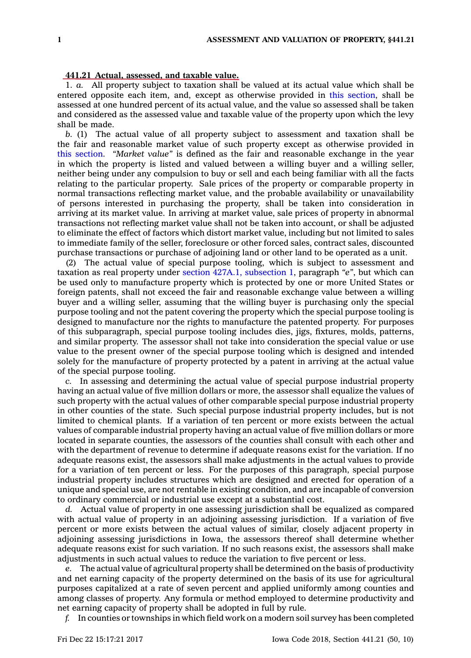## **441.21 Actual, assessed, and taxable value.**

1. *a.* All property subject to taxation shall be valued at its actual value which shall be entered opposite each item, and, except as otherwise provided in this [section](https://www.legis.iowa.gov/docs/code/441.21.pdf), shall be assessed at one hundred percent of its actual value, and the value so assessed shall be taken and considered as the assessed value and taxable value of the property upon which the levy shall be made.

*b.* (1) The actual value of all property subject to assessment and taxation shall be the fair and reasonable market value of such property except as otherwise provided in this [section](https://www.legis.iowa.gov/docs/code/441.21.pdf). *"Market value"* is defined as the fair and reasonable exchange in the year in which the property is listed and valued between <sup>a</sup> willing buyer and <sup>a</sup> willing seller, neither being under any compulsion to buy or sell and each being familiar with all the facts relating to the particular property. Sale prices of the property or comparable property in normal transactions reflecting market value, and the probable availability or unavailability of persons interested in purchasing the property, shall be taken into consideration in arriving at its market value. In arriving at market value, sale prices of property in abnormal transactions not reflecting market value shall not be taken into account, or shall be adjusted to eliminate the effect of factors which distort market value, including but not limited to sales to immediate family of the seller, foreclosure or other forced sales, contract sales, discounted purchase transactions or purchase of adjoining land or other land to be operated as <sup>a</sup> unit.

(2) The actual value of special purpose tooling, which is subject to assessment and taxation as real property under section 427A.1, [subsection](https://www.legis.iowa.gov/docs/code/427A.1.pdf) 1, paragraph *"e"*, but which can be used only to manufacture property which is protected by one or more United States or foreign patents, shall not exceed the fair and reasonable exchange value between <sup>a</sup> willing buyer and <sup>a</sup> willing seller, assuming that the willing buyer is purchasing only the special purpose tooling and not the patent covering the property which the special purpose tooling is designed to manufacture nor the rights to manufacture the patented property. For purposes of this subparagraph, special purpose tooling includes dies, jigs, fixtures, molds, patterns, and similar property. The assessor shall not take into consideration the special value or use value to the present owner of the special purpose tooling which is designed and intended solely for the manufacture of property protected by <sup>a</sup> patent in arriving at the actual value of the special purpose tooling.

*c.* In assessing and determining the actual value of special purpose industrial property having an actual value of five million dollars or more, the assessor shall equalize the values of such property with the actual values of other comparable special purpose industrial property in other counties of the state. Such special purpose industrial property includes, but is not limited to chemical plants. If <sup>a</sup> variation of ten percent or more exists between the actual values of comparable industrial property having an actual value of five million dollars or more located in separate counties, the assessors of the counties shall consult with each other and with the department of revenue to determine if adequate reasons exist for the variation. If no adequate reasons exist, the assessors shall make adjustments in the actual values to provide for <sup>a</sup> variation of ten percent or less. For the purposes of this paragraph, special purpose industrial property includes structures which are designed and erected for operation of <sup>a</sup> unique and special use, are not rentable in existing condition, and are incapable of conversion to ordinary commercial or industrial use except at <sup>a</sup> substantial cost.

*d.* Actual value of property in one assessing jurisdiction shall be equalized as compared with actual value of property in an adjoining assessing jurisdiction. If <sup>a</sup> variation of five percent or more exists between the actual values of similar, closely adjacent property in adjoining assessing jurisdictions in Iowa, the assessors thereof shall determine whether adequate reasons exist for such variation. If no such reasons exist, the assessors shall make adjustments in such actual values to reduce the variation to five percent or less.

*e.* The actual value of agricultural property shall be determined on the basis of productivity and net earning capacity of the property determined on the basis of its use for agricultural purposes capitalized at <sup>a</sup> rate of seven percent and applied uniformly among counties and among classes of property. Any formula or method employed to determine productivity and net earning capacity of property shall be adopted in full by rule.

*f.* In counties or townships in which field work on <sup>a</sup> modern soil survey has been completed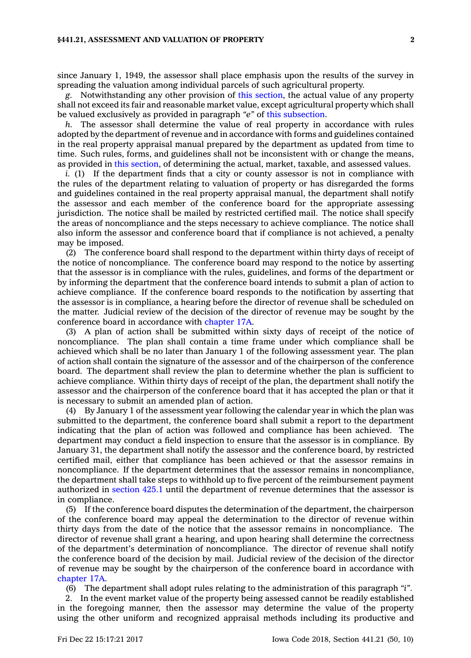since January 1, 1949, the assessor shall place emphasis upon the results of the survey in spreading the valuation among individual parcels of such agricultural property.

*g.* Notwithstanding any other provision of this [section](https://www.legis.iowa.gov/docs/code/441.21.pdf), the actual value of any property shall not exceed its fair and reasonable market value, except agricultural property which shall be valued exclusively as provided in paragraph *"e"* of this [subsection](https://www.legis.iowa.gov/docs/code/441.21.pdf).

*h.* The assessor shall determine the value of real property in accordance with rules adopted by the department of revenue and in accordance with forms and guidelines contained in the real property appraisal manual prepared by the department as updated from time to time. Such rules, forms, and guidelines shall not be inconsistent with or change the means, as provided in this [section](https://www.legis.iowa.gov/docs/code/441.21.pdf), of determining the actual, market, taxable, and assessed values.

*i.* (1) If the department finds that a city or county assessor is not in compliance with the rules of the department relating to valuation of property or has disregarded the forms and guidelines contained in the real property appraisal manual, the department shall notify the assessor and each member of the conference board for the appropriate assessing jurisdiction. The notice shall be mailed by restricted certified mail. The notice shall specify the areas of noncompliance and the steps necessary to achieve compliance. The notice shall also inform the assessor and conference board that if compliance is not achieved, <sup>a</sup> penalty may be imposed.

(2) The conference board shall respond to the department within thirty days of receipt of the notice of noncompliance. The conference board may respond to the notice by asserting that the assessor is in compliance with the rules, guidelines, and forms of the department or by informing the department that the conference board intends to submit <sup>a</sup> plan of action to achieve compliance. If the conference board responds to the notification by asserting that the assessor is in compliance, <sup>a</sup> hearing before the director of revenue shall be scheduled on the matter. Judicial review of the decision of the director of revenue may be sought by the conference board in accordance with [chapter](https://www.legis.iowa.gov/docs/code//17A.pdf) 17A.

(3) A plan of action shall be submitted within sixty days of receipt of the notice of noncompliance. The plan shall contain <sup>a</sup> time frame under which compliance shall be achieved which shall be no later than January 1 of the following assessment year. The plan of action shall contain the signature of the assessor and of the chairperson of the conference board. The department shall review the plan to determine whether the plan is sufficient to achieve compliance. Within thirty days of receipt of the plan, the department shall notify the assessor and the chairperson of the conference board that it has accepted the plan or that it is necessary to submit an amended plan of action.

(4) By January 1 of the assessment year following the calendar year in which the plan was submitted to the department, the conference board shall submit <sup>a</sup> report to the department indicating that the plan of action was followed and compliance has been achieved. The department may conduct <sup>a</sup> field inspection to ensure that the assessor is in compliance. By January 31, the department shall notify the assessor and the conference board, by restricted certified mail, either that compliance has been achieved or that the assessor remains in noncompliance. If the department determines that the assessor remains in noncompliance, the department shall take steps to withhold up to five percent of the reimbursement payment authorized in [section](https://www.legis.iowa.gov/docs/code/425.1.pdf) 425.1 until the department of revenue determines that the assessor is in compliance.

(5) If the conference board disputes the determination of the department, the chairperson of the conference board may appeal the determination to the director of revenue within thirty days from the date of the notice that the assessor remains in noncompliance. The director of revenue shall grant <sup>a</sup> hearing, and upon hearing shall determine the correctness of the department's determination of noncompliance. The director of revenue shall notify the conference board of the decision by mail. Judicial review of the decision of the director of revenue may be sought by the chairperson of the conference board in accordance with [chapter](https://www.legis.iowa.gov/docs/code//17A.pdf) 17A.

(6) The department shall adopt rules relating to the administration of this paragraph *"i"*.

2. In the event market value of the property being assessed cannot be readily established in the foregoing manner, then the assessor may determine the value of the property using the other uniform and recognized appraisal methods including its productive and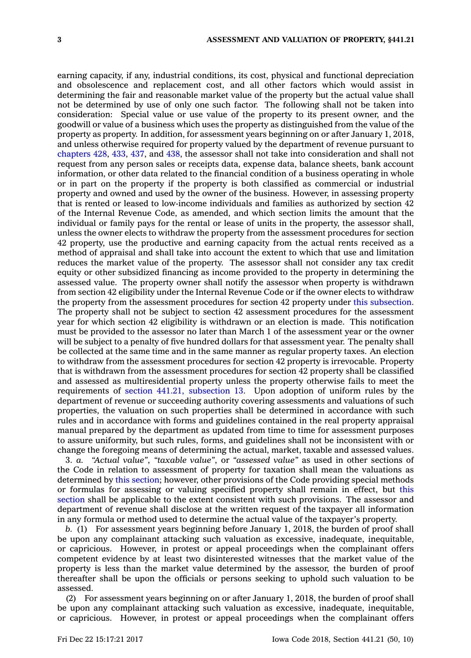earning capacity, if any, industrial conditions, its cost, physical and functional depreciation and obsolescence and replacement cost, and all other factors which would assist in determining the fair and reasonable market value of the property but the actual value shall not be determined by use of only one such factor. The following shall not be taken into consideration: Special value or use value of the property to its present owner, and the goodwill or value of <sup>a</sup> business which uses the property as distinguished from the value of the property as property. In addition, for assessment years beginning on or after January 1, 2018, and unless otherwise required for property valued by the department of revenue pursuant to [chapters](https://www.legis.iowa.gov/docs/code//428.pdf) 428, [433](https://www.legis.iowa.gov/docs/code//433.pdf), [437](https://www.legis.iowa.gov/docs/code//437.pdf), and [438](https://www.legis.iowa.gov/docs/code//438.pdf), the assessor shall not take into consideration and shall not request from any person sales or receipts data, expense data, balance sheets, bank account information, or other data related to the financial condition of <sup>a</sup> business operating in whole or in part on the property if the property is both classified as commercial or industrial property and owned and used by the owner of the business. However, in assessing property that is rented or leased to low-income individuals and families as authorized by section 42 of the Internal Revenue Code, as amended, and which section limits the amount that the individual or family pays for the rental or lease of units in the property, the assessor shall, unless the owner elects to withdraw the property from the assessment procedures for section 42 property, use the productive and earning capacity from the actual rents received as <sup>a</sup> method of appraisal and shall take into account the extent to which that use and limitation reduces the market value of the property. The assessor shall not consider any tax credit equity or other subsidized financing as income provided to the property in determining the assessed value. The property owner shall notify the assessor when property is withdrawn from section 42 eligibility under the Internal Revenue Code or if the owner elects to withdraw the property from the assessment procedures for section 42 property under this [subsection](https://www.legis.iowa.gov/docs/code/441.21.pdf). The property shall not be subject to section 42 assessment procedures for the assessment year for which section 42 eligibility is withdrawn or an election is made. This notification must be provided to the assessor no later than March 1 of the assessment year or the owner will be subject to <sup>a</sup> penalty of five hundred dollars for that assessment year. The penalty shall be collected at the same time and in the same manner as regular property taxes. An election to withdraw from the assessment procedures for section 42 property is irrevocable. Property that is withdrawn from the assessment procedures for section 42 property shall be classified and assessed as multiresidential property unless the property otherwise fails to meet the requirements of section 441.21, [subsection](https://www.legis.iowa.gov/docs/code/441.21.pdf) 13. Upon adoption of uniform rules by the department of revenue or succeeding authority covering assessments and valuations of such properties, the valuation on such properties shall be determined in accordance with such rules and in accordance with forms and guidelines contained in the real property appraisal manual prepared by the department as updated from time to time for assessment purposes to assure uniformity, but such rules, forms, and guidelines shall not be inconsistent with or change the foregoing means of determining the actual, market, taxable and assessed values.

3. *a. "Actual value"*, *"taxable value"*, or *"assessed value"* as used in other sections of the Code in relation to assessment of property for taxation shall mean the valuations as determined by this [section](https://www.legis.iowa.gov/docs/code/441.21.pdf); however, other provisions of the Code providing special methods or formulas for assessing or valuing specified property shall remain in effect, but [this](https://www.legis.iowa.gov/docs/code/441.21.pdf) [section](https://www.legis.iowa.gov/docs/code/441.21.pdf) shall be applicable to the extent consistent with such provisions. The assessor and department of revenue shall disclose at the written request of the taxpayer all information in any formula or method used to determine the actual value of the taxpayer's property.

*b.* (1) For assessment years beginning before January 1, 2018, the burden of proof shall be upon any complainant attacking such valuation as excessive, inadequate, inequitable, or capricious. However, in protest or appeal proceedings when the complainant offers competent evidence by at least two disinterested witnesses that the market value of the property is less than the market value determined by the assessor, the burden of proof thereafter shall be upon the officials or persons seeking to uphold such valuation to be assessed.

(2) For assessment years beginning on or after January 1, 2018, the burden of proof shall be upon any complainant attacking such valuation as excessive, inadequate, inequitable, or capricious. However, in protest or appeal proceedings when the complainant offers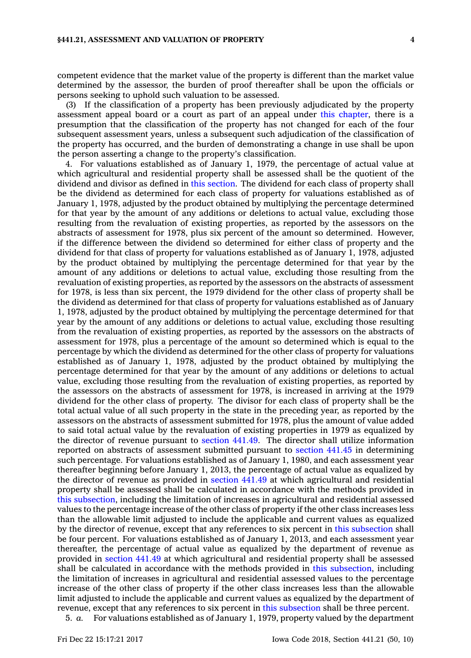competent evidence that the market value of the property is different than the market value determined by the assessor, the burden of proof thereafter shall be upon the officials or persons seeking to uphold such valuation to be assessed.

(3) If the classification of <sup>a</sup> property has been previously adjudicated by the property assessment appeal board or <sup>a</sup> court as part of an appeal under this [chapter](https://www.legis.iowa.gov/docs/code//441.pdf), there is <sup>a</sup> presumption that the classification of the property has not changed for each of the four subsequent assessment years, unless <sup>a</sup> subsequent such adjudication of the classification of the property has occurred, and the burden of demonstrating <sup>a</sup> change in use shall be upon the person asserting <sup>a</sup> change to the property's classification.

4. For valuations established as of January 1, 1979, the percentage of actual value at which agricultural and residential property shall be assessed shall be the quotient of the dividend and divisor as defined in this [section](https://www.legis.iowa.gov/docs/code/441.21.pdf). The dividend for each class of property shall be the dividend as determined for each class of property for valuations established as of January 1, 1978, adjusted by the product obtained by multiplying the percentage determined for that year by the amount of any additions or deletions to actual value, excluding those resulting from the revaluation of existing properties, as reported by the assessors on the abstracts of assessment for 1978, plus six percent of the amount so determined. However, if the difference between the dividend so determined for either class of property and the dividend for that class of property for valuations established as of January 1, 1978, adjusted by the product obtained by multiplying the percentage determined for that year by the amount of any additions or deletions to actual value, excluding those resulting from the revaluation of existing properties, as reported by the assessors on the abstracts of assessment for 1978, is less than six percent, the 1979 dividend for the other class of property shall be the dividend as determined for that class of property for valuations established as of January 1, 1978, adjusted by the product obtained by multiplying the percentage determined for that year by the amount of any additions or deletions to actual value, excluding those resulting from the revaluation of existing properties, as reported by the assessors on the abstracts of assessment for 1978, plus <sup>a</sup> percentage of the amount so determined which is equal to the percentage by which the dividend as determined for the other class of property for valuations established as of January 1, 1978, adjusted by the product obtained by multiplying the percentage determined for that year by the amount of any additions or deletions to actual value, excluding those resulting from the revaluation of existing properties, as reported by the assessors on the abstracts of assessment for 1978, is increased in arriving at the 1979 dividend for the other class of property. The divisor for each class of property shall be the total actual value of all such property in the state in the preceding year, as reported by the assessors on the abstracts of assessment submitted for 1978, plus the amount of value added to said total actual value by the revaluation of existing properties in 1979 as equalized by the director of revenue pursuant to [section](https://www.legis.iowa.gov/docs/code/441.49.pdf) 441.49. The director shall utilize information reported on abstracts of assessment submitted pursuant to [section](https://www.legis.iowa.gov/docs/code/441.45.pdf) 441.45 in determining such percentage. For valuations established as of January 1, 1980, and each assessment year thereafter beginning before January 1, 2013, the percentage of actual value as equalized by the director of revenue as provided in [section](https://www.legis.iowa.gov/docs/code/441.49.pdf) 441.49 at which agricultural and residential property shall be assessed shall be calculated in accordance with the methods provided in this [subsection](https://www.legis.iowa.gov/docs/code/441.21.pdf), including the limitation of increases in agricultural and residential assessed values to the percentage increase of the other class of property if the other class increases less than the allowable limit adjusted to include the applicable and current values as equalized by the director of revenue, except that any references to six percent in this [subsection](https://www.legis.iowa.gov/docs/code/441.21.pdf) shall be four percent. For valuations established as of January 1, 2013, and each assessment year thereafter, the percentage of actual value as equalized by the department of revenue as provided in [section](https://www.legis.iowa.gov/docs/code/441.49.pdf) 441.49 at which agricultural and residential property shall be assessed shall be calculated in accordance with the methods provided in this [subsection](https://www.legis.iowa.gov/docs/code/441.21.pdf), including the limitation of increases in agricultural and residential assessed values to the percentage increase of the other class of property if the other class increases less than the allowable limit adjusted to include the applicable and current values as equalized by the department of revenue, except that any references to six percent in this [subsection](https://www.legis.iowa.gov/docs/code/441.21.pdf) shall be three percent.

5. *a.* For valuations established as of January 1, 1979, property valued by the department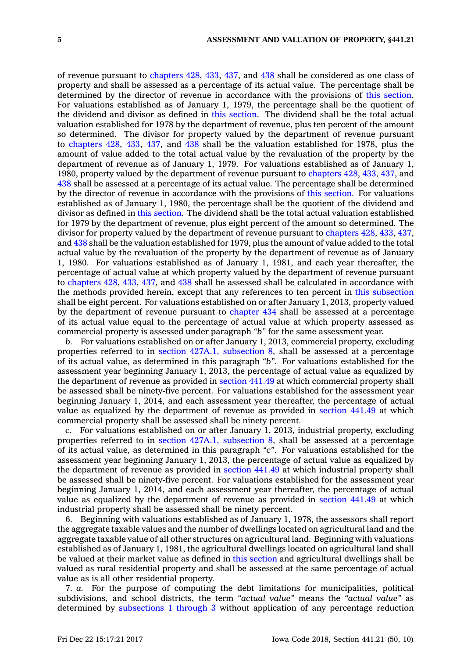of revenue pursuant to [chapters](https://www.legis.iowa.gov/docs/code//428.pdf) 428, [433](https://www.legis.iowa.gov/docs/code//433.pdf), [437](https://www.legis.iowa.gov/docs/code//437.pdf), and [438](https://www.legis.iowa.gov/docs/code//438.pdf) shall be considered as one class of property and shall be assessed as <sup>a</sup> percentage of its actual value. The percentage shall be determined by the director of revenue in accordance with the provisions of this [section](https://www.legis.iowa.gov/docs/code/441.21.pdf). For valuations established as of January 1, 1979, the percentage shall be the quotient of the dividend and divisor as defined in this [section](https://www.legis.iowa.gov/docs/code/441.21.pdf). The dividend shall be the total actual valuation established for 1978 by the department of revenue, plus ten percent of the amount so determined. The divisor for property valued by the department of revenue pursuant to [chapters](https://www.legis.iowa.gov/docs/code//428.pdf) 428, [433](https://www.legis.iowa.gov/docs/code//433.pdf), [437](https://www.legis.iowa.gov/docs/code//437.pdf), and [438](https://www.legis.iowa.gov/docs/code//438.pdf) shall be the valuation established for 1978, plus the amount of value added to the total actual value by the revaluation of the property by the department of revenue as of January 1, 1979. For valuations established as of January 1, 1980, property valued by the department of revenue pursuant to [chapters](https://www.legis.iowa.gov/docs/code//428.pdf) 428, [433](https://www.legis.iowa.gov/docs/code//433.pdf), [437](https://www.legis.iowa.gov/docs/code//437.pdf), and [438](https://www.legis.iowa.gov/docs/code//438.pdf) shall be assessed at <sup>a</sup> percentage of its actual value. The percentage shall be determined by the director of revenue in accordance with the provisions of this [section](https://www.legis.iowa.gov/docs/code/441.21.pdf). For valuations established as of January 1, 1980, the percentage shall be the quotient of the dividend and divisor as defined in this [section](https://www.legis.iowa.gov/docs/code/441.21.pdf). The dividend shall be the total actual valuation established for 1979 by the department of revenue, plus eight percent of the amount so determined. The divisor for property valued by the department of revenue pursuant to [chapters](https://www.legis.iowa.gov/docs/code//428.pdf) 428, [433](https://www.legis.iowa.gov/docs/code//433.pdf), [437](https://www.legis.iowa.gov/docs/code//437.pdf), and [438](https://www.legis.iowa.gov/docs/code//438.pdf) shall be the valuation established for 1979, plus the amount of value added to the total actual value by the revaluation of the property by the department of revenue as of January 1, 1980. For valuations established as of January 1, 1981, and each year thereafter, the percentage of actual value at which property valued by the department of revenue pursuant to [chapters](https://www.legis.iowa.gov/docs/code//428.pdf) 428, [433](https://www.legis.iowa.gov/docs/code//433.pdf), [437](https://www.legis.iowa.gov/docs/code//437.pdf), and [438](https://www.legis.iowa.gov/docs/code//438.pdf) shall be assessed shall be calculated in accordance with the methods provided herein, except that any references to ten percent in this [subsection](https://www.legis.iowa.gov/docs/code/441.21.pdf) shall be eight percent. For valuations established on or after January 1, 2013, property valued by the department of revenue pursuant to [chapter](https://www.legis.iowa.gov/docs/code//434.pdf) 434 shall be assessed at <sup>a</sup> percentage of its actual value equal to the percentage of actual value at which property assessed as commercial property is assessed under paragraph *"b"* for the same assessment year.

*b.* For valuations established on or after January 1, 2013, commercial property, excluding properties referred to in section 427A.1, [subsection](https://www.legis.iowa.gov/docs/code/427A.1.pdf) 8, shall be assessed at <sup>a</sup> percentage of its actual value, as determined in this paragraph *"b"*. For valuations established for the assessment year beginning January 1, 2013, the percentage of actual value as equalized by the department of revenue as provided in [section](https://www.legis.iowa.gov/docs/code/441.49.pdf) 441.49 at which commercial property shall be assessed shall be ninety-five percent. For valuations established for the assessment year beginning January 1, 2014, and each assessment year thereafter, the percentage of actual value as equalized by the department of revenue as provided in [section](https://www.legis.iowa.gov/docs/code/441.49.pdf) 441.49 at which commercial property shall be assessed shall be ninety percent.

*c.* For valuations established on or after January 1, 2013, industrial property, excluding properties referred to in section 427A.1, [subsection](https://www.legis.iowa.gov/docs/code/427A.1.pdf) 8, shall be assessed at <sup>a</sup> percentage of its actual value, as determined in this paragraph *"c"*. For valuations established for the assessment year beginning January 1, 2013, the percentage of actual value as equalized by the department of revenue as provided in [section](https://www.legis.iowa.gov/docs/code/441.49.pdf) 441.49 at which industrial property shall be assessed shall be ninety-five percent. For valuations established for the assessment year beginning January 1, 2014, and each assessment year thereafter, the percentage of actual value as equalized by the department of revenue as provided in [section](https://www.legis.iowa.gov/docs/code/441.49.pdf) 441.49 at which industrial property shall be assessed shall be ninety percent.

6. Beginning with valuations established as of January 1, 1978, the assessors shall report the aggregate taxable values and the number of dwellings located on agricultural land and the aggregate taxable value of all other structures on agricultural land. Beginning with valuations established as of January 1, 1981, the agricultural dwellings located on agricultural land shall be valued at their market value as defined in this [section](https://www.legis.iowa.gov/docs/code/441.21.pdf) and agricultural dwellings shall be valued as rural residential property and shall be assessed at the same percentage of actual value as is all other residential property.

7. *a.* For the purpose of computing the debt limitations for municipalities, political subdivisions, and school districts, the term *"actual value"* means the *"actual value"* as determined by [subsections](https://www.legis.iowa.gov/docs/code/441.21.pdf) 1 through 3 without application of any percentage reduction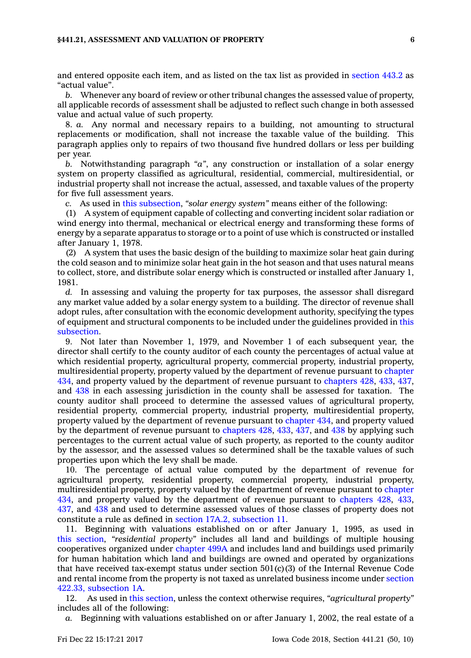## **§441.21, ASSESSMENT AND VALUATION OF PROPERTY 6**

and entered opposite each item, and as listed on the tax list as provided in [section](https://www.legis.iowa.gov/docs/code/443.2.pdf) 443.2 as "actual value".

*b.* Whenever any board of review or other tribunal changes the assessed value of property, all applicable records of assessment shall be adjusted to reflect such change in both assessed value and actual value of such property.

8. *a.* Any normal and necessary repairs to <sup>a</sup> building, not amounting to structural replacements or modification, shall not increase the taxable value of the building. This paragraph applies only to repairs of two thousand five hundred dollars or less per building per year.

*b.* Notwithstanding paragraph *"a"*, any construction or installation of <sup>a</sup> solar energy system on property classified as agricultural, residential, commercial, multiresidential, or industrial property shall not increase the actual, assessed, and taxable values of the property for five full assessment years.

*c.* As used in this [subsection](https://www.legis.iowa.gov/docs/code/441.21.pdf), *"solar energy system"* means either of the following:

(1) A system of equipment capable of collecting and converting incident solar radiation or wind energy into thermal, mechanical or electrical energy and transforming these forms of energy by <sup>a</sup> separate apparatus to storage or to <sup>a</sup> point of use which is constructed or installed after January 1, 1978.

(2) A system that uses the basic design of the building to maximize solar heat gain during the cold season and to minimize solar heat gain in the hot season and that uses natural means to collect, store, and distribute solar energy which is constructed or installed after January 1, 1981.

*d.* In assessing and valuing the property for tax purposes, the assessor shall disregard any market value added by <sup>a</sup> solar energy system to <sup>a</sup> building. The director of revenue shall adopt rules, after consultation with the economic development authority, specifying the types of equipment and structural components to be included under the guidelines provided in [this](https://www.legis.iowa.gov/docs/code/441.21.pdf) [subsection](https://www.legis.iowa.gov/docs/code/441.21.pdf).

9. Not later than November 1, 1979, and November 1 of each subsequent year, the director shall certify to the county auditor of each county the percentages of actual value at which residential property, agricultural property, commercial property, industrial property, multiresidential property, property valued by the department of revenue pursuant to [chapter](https://www.legis.iowa.gov/docs/code//434.pdf) [434](https://www.legis.iowa.gov/docs/code//434.pdf), and property valued by the department of revenue pursuant to [chapters](https://www.legis.iowa.gov/docs/code//428.pdf) 428, [433](https://www.legis.iowa.gov/docs/code//433.pdf), [437](https://www.legis.iowa.gov/docs/code//437.pdf), and [438](https://www.legis.iowa.gov/docs/code//438.pdf) in each assessing jurisdiction in the county shall be assessed for taxation. The county auditor shall proceed to determine the assessed values of agricultural property, residential property, commercial property, industrial property, multiresidential property, property valued by the department of revenue pursuant to [chapter](https://www.legis.iowa.gov/docs/code//434.pdf) 434, and property valued by the department of revenue pursuant to [chapters](https://www.legis.iowa.gov/docs/code//428.pdf) 428, [433](https://www.legis.iowa.gov/docs/code//433.pdf), [437](https://www.legis.iowa.gov/docs/code//437.pdf), and [438](https://www.legis.iowa.gov/docs/code//438.pdf) by applying such percentages to the current actual value of such property, as reported to the county auditor by the assessor, and the assessed values so determined shall be the taxable values of such properties upon which the levy shall be made.

10. The percentage of actual value computed by the department of revenue for agricultural property, residential property, commercial property, industrial property, multiresidential property, property valued by the department of revenue pursuant to [chapter](https://www.legis.iowa.gov/docs/code//434.pdf) [434](https://www.legis.iowa.gov/docs/code//434.pdf), and property valued by the department of revenue pursuant to [chapters](https://www.legis.iowa.gov/docs/code//428.pdf) 428, [433](https://www.legis.iowa.gov/docs/code//433.pdf), [437](https://www.legis.iowa.gov/docs/code//437.pdf), and [438](https://www.legis.iowa.gov/docs/code//438.pdf) and used to determine assessed values of those classes of property does not constitute <sup>a</sup> rule as defined in section 17A.2, [subsection](https://www.legis.iowa.gov/docs/code/17A.2.pdf) 11.

11. Beginning with valuations established on or after January 1, 1995, as used in this [section](https://www.legis.iowa.gov/docs/code/441.21.pdf), *"residential property"* includes all land and buildings of multiple housing cooperatives organized under [chapter](https://www.legis.iowa.gov/docs/code//499A.pdf) 499A and includes land and buildings used primarily for human habitation which land and buildings are owned and operated by organizations that have received tax-exempt status under section  $501(c)(3)$  of the Internal Revenue Code and rental income from the property is not taxed as unrelated business income under [section](https://www.legis.iowa.gov/docs/code/422.33.pdf) 422.33, [subsection](https://www.legis.iowa.gov/docs/code/422.33.pdf) 1A.

12. As used in this [section](https://www.legis.iowa.gov/docs/code/441.21.pdf), unless the context otherwise requires, *"agricultural property"* includes all of the following:

*a.* Beginning with valuations established on or after January 1, 2002, the real estate of <sup>a</sup>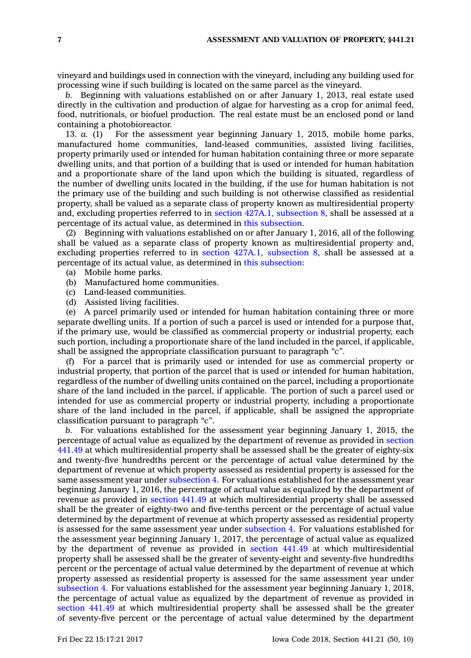vineyard and buildings used in connection with the vineyard, including any building used for processing wine if such building is located on the same parcel as the vineyard.

*b.* Beginning with valuations established on or after January 1, 2013, real estate used directly in the cultivation and production of algae for harvesting as <sup>a</sup> crop for animal feed, food, nutritionals, or biofuel production. The real estate must be an enclosed pond or land containing <sup>a</sup> photobioreactor.

13. *a.* (1) For the assessment year beginning January 1, 2015, mobile home parks, manufactured home communities, land-leased communities, assisted living facilities, property primarily used or intended for human habitation containing three or more separate dwelling units, and that portion of <sup>a</sup> building that is used or intended for human habitation and <sup>a</sup> proportionate share of the land upon which the building is situated, regardless of the number of dwelling units located in the building, if the use for human habitation is not the primary use of the building and such building is not otherwise classified as residential property, shall be valued as <sup>a</sup> separate class of property known as multiresidential property and, excluding properties referred to in section 427A.1, [subsection](https://www.legis.iowa.gov/docs/code/427A.1.pdf) 8, shall be assessed at <sup>a</sup> percentage of its actual value, as determined in this [subsection](https://www.legis.iowa.gov/docs/code/441.21.pdf).

(2) Beginning with valuations established on or after January 1, 2016, all of the following shall be valued as <sup>a</sup> separate class of property known as multiresidential property and, excluding properties referred to in section 427A.1, [subsection](https://www.legis.iowa.gov/docs/code/427A.1.pdf) 8, shall be assessed at <sup>a</sup> percentage of its actual value, as determined in this [subsection](https://www.legis.iowa.gov/docs/code/441.21.pdf):

- (a) Mobile home parks.
- (b) Manufactured home communities.
- (c) Land-leased communities.
- (d) Assisted living facilities.

(e) A parcel primarily used or intended for human habitation containing three or more separate dwelling units. If <sup>a</sup> portion of such <sup>a</sup> parcel is used or intended for <sup>a</sup> purpose that, if the primary use, would be classified as commercial property or industrial property, each such portion, including <sup>a</sup> proportionate share of the land included in the parcel, if applicable, shall be assigned the appropriate classification pursuant to paragraph *"c"*.

(f) For <sup>a</sup> parcel that is primarily used or intended for use as commercial property or industrial property, that portion of the parcel that is used or intended for human habitation, regardless of the number of dwelling units contained on the parcel, including <sup>a</sup> proportionate share of the land included in the parcel, if applicable. The portion of such <sup>a</sup> parcel used or intended for use as commercial property or industrial property, including <sup>a</sup> proportionate share of the land included in the parcel, if applicable, shall be assigned the appropriate classification pursuant to paragraph *"c"*.

*b.* For valuations established for the assessment year beginning January 1, 2015, the percentage of actual value as equalized by the department of revenue as provided in [section](https://www.legis.iowa.gov/docs/code/441.49.pdf) [441.49](https://www.legis.iowa.gov/docs/code/441.49.pdf) at which multiresidential property shall be assessed shall be the greater of eighty-six and twenty-five hundredths percent or the percentage of actual value determined by the department of revenue at which property assessed as residential property is assessed for the same assessment year under [subsection](https://www.legis.iowa.gov/docs/code/441.21.pdf) 4. For valuations established for the assessment year beginning January 1, 2016, the percentage of actual value as equalized by the department of revenue as provided in [section](https://www.legis.iowa.gov/docs/code/441.49.pdf) 441.49 at which multiresidential property shall be assessed shall be the greater of eighty-two and five-tenths percent or the percentage of actual value determined by the department of revenue at which property assessed as residential property is assessed for the same assessment year under [subsection](https://www.legis.iowa.gov/docs/code/441.21.pdf) 4. For valuations established for the assessment year beginning January 1, 2017, the percentage of actual value as equalized by the department of revenue as provided in [section](https://www.legis.iowa.gov/docs/code/441.49.pdf) 441.49 at which multiresidential property shall be assessed shall be the greater of seventy-eight and seventy-five hundredths percent or the percentage of actual value determined by the department of revenue at which property assessed as residential property is assessed for the same assessment year under [subsection](https://www.legis.iowa.gov/docs/code/441.21.pdf) 4. For valuations established for the assessment year beginning January 1, 2018, the percentage of actual value as equalized by the department of revenue as provided in [section](https://www.legis.iowa.gov/docs/code/441.49.pdf) 441.49 at which multiresidential property shall be assessed shall be the greater of seventy-five percent or the percentage of actual value determined by the department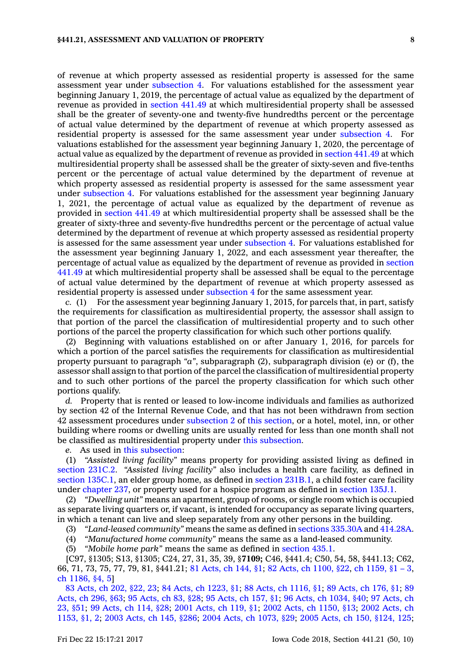of revenue at which property assessed as residential property is assessed for the same assessment year under [subsection](https://www.legis.iowa.gov/docs/code/441.21.pdf) 4. For valuations established for the assessment year beginning January 1, 2019, the percentage of actual value as equalized by the department of revenue as provided in [section](https://www.legis.iowa.gov/docs/code/441.49.pdf) 441.49 at which multiresidential property shall be assessed shall be the greater of seventy-one and twenty-five hundredths percent or the percentage of actual value determined by the department of revenue at which property assessed as residential property is assessed for the same assessment year under [subsection](https://www.legis.iowa.gov/docs/code/441.21.pdf) 4. For valuations established for the assessment year beginning January 1, 2020, the percentage of actual value as equalized by the department of revenue as provided in [section](https://www.legis.iowa.gov/docs/code/441.49.pdf) 441.49 at which multiresidential property shall be assessed shall be the greater of sixty-seven and five-tenths percent or the percentage of actual value determined by the department of revenue at which property assessed as residential property is assessed for the same assessment year under [subsection](https://www.legis.iowa.gov/docs/code/441.21.pdf) 4. For valuations established for the assessment year beginning January 1, 2021, the percentage of actual value as equalized by the department of revenue as provided in [section](https://www.legis.iowa.gov/docs/code/441.49.pdf) 441.49 at which multiresidential property shall be assessed shall be the greater of sixty-three and seventy-five hundredths percent or the percentage of actual value determined by the department of revenue at which property assessed as residential property is assessed for the same assessment year under [subsection](https://www.legis.iowa.gov/docs/code/441.21.pdf) 4. For valuations established for the assessment year beginning January 1, 2022, and each assessment year thereafter, the percentage of actual value as equalized by the department of revenue as provided in [section](https://www.legis.iowa.gov/docs/code/441.49.pdf) [441.49](https://www.legis.iowa.gov/docs/code/441.49.pdf) at which multiresidential property shall be assessed shall be equal to the percentage of actual value determined by the department of revenue at which property assessed as residential property is assessed under [subsection](https://www.legis.iowa.gov/docs/code/441.21.pdf) 4 for the same assessment year.

*c.* (1) For the assessment year beginning January 1, 2015, for parcels that, in part, satisfy the requirements for classification as multiresidential property, the assessor shall assign to that portion of the parcel the classification of multiresidential property and to such other portions of the parcel the property classification for which such other portions qualify.

(2) Beginning with valuations established on or after January 1, 2016, for parcels for which <sup>a</sup> portion of the parcel satisfies the requirements for classification as multiresidential property pursuant to paragraph *"a"*, subparagraph (2), subparagraph division (e) or (f), the assessor shall assign to that portion of the parcel the classification of multiresidential property and to such other portions of the parcel the property classification for which such other portions qualify.

*d.* Property that is rented or leased to low-income individuals and families as authorized by section 42 of the Internal Revenue Code, and that has not been withdrawn from section 42 assessment procedures under [subsection](https://www.legis.iowa.gov/docs/code/441.21.pdf) 2 of this [section](https://www.legis.iowa.gov/docs/code/441.21.pdf), or <sup>a</sup> hotel, motel, inn, or other building where rooms or dwelling units are usually rented for less than one month shall not be classified as multiresidential property under this [subsection](https://www.legis.iowa.gov/docs/code/441.21.pdf).

*e.* As used in this [subsection](https://www.legis.iowa.gov/docs/code/441.21.pdf):

(1) *"Assisted living facility"* means property for providing assisted living as defined in [section](https://www.legis.iowa.gov/docs/code/231C.2.pdf) 231C.2. *"Assisted living facility"* also includes <sup>a</sup> health care facility, as defined in section [135C.1](https://www.legis.iowa.gov/docs/code/135C.1.pdf), an elder group home, as defined in section [231B.1](https://www.legis.iowa.gov/docs/code/231B.1.pdf), <sup>a</sup> child foster care facility under [chapter](https://www.legis.iowa.gov/docs/code//237.pdf) 237, or property used for <sup>a</sup> hospice program as defined in [section](https://www.legis.iowa.gov/docs/code/135J.1.pdf) 135J.1.

(2) *"Dwelling unit"* means an apartment, group of rooms, or single room which is occupied as separate living quarters or, if vacant, is intended for occupancy as separate living quarters, in which <sup>a</sup> tenant can live and sleep separately from any other persons in the building.

(3) *"Land-leased community"* means the same as defined in sections [335.30A](https://www.legis.iowa.gov/docs/code/335.30A.pdf) and [414.28A](https://www.legis.iowa.gov/docs/code/414.28A.pdf).

(4) *"Manufactured home community"* means the same as <sup>a</sup> land-leased community.

(5) *"Mobile home park"* means the same as defined in [section](https://www.legis.iowa.gov/docs/code/435.1.pdf) 435.1.

[C97, §1305; S13, §1305; C24, 27, 31, 35, 39, §**7109;** C46, §441.4; C50, 54, 58, §441.13; C62, 66, 71, 73, 75, 77, 79, 81, §441.21; 81 [Acts,](https://www.legis.iowa.gov/docs/acts/1981/CH0144.pdf) ch 144, §1; 82 Acts, ch [1100,](https://www.legis.iowa.gov/docs/acts/1982/CH1100.pdf) §22, ch [1159,](https://www.legis.iowa.gov/docs/acts/1982/CH1159.pdf) §1 – 3, ch [1186,](https://www.legis.iowa.gov/docs/acts/1982/CH1186.pdf) §4, 5]

83 [Acts,](https://www.legis.iowa.gov/docs/acts/83/CH0202.pdf) ch 202, §22, 23; 84 Acts, ch [1223,](https://www.legis.iowa.gov/docs/acts/84/CH1223.pdf) §1; 88 Acts, ch [1116,](https://www.legis.iowa.gov/docs/acts/88/CH1116.pdf) §1; 89 [Acts,](https://www.legis.iowa.gov/docs/acts/89/CH0176.pdf) ch 176, §1; [89](https://www.legis.iowa.gov/docs/acts/89/CH0296.pdf) [Acts,](https://www.legis.iowa.gov/docs/acts/89/CH0296.pdf) ch 296, §63; 95 [Acts,](https://www.legis.iowa.gov/docs/acts/95/CH0083.pdf) ch 83, §28; 95 [Acts,](https://www.legis.iowa.gov/docs/acts/95/CH0157.pdf) ch 157, §1; 96 Acts, ch [1034,](https://www.legis.iowa.gov/docs/acts/96/CH1034.pdf) §40; 97 [Acts,](https://www.legis.iowa.gov/docs/acts/97/CH0023.pdf) ch 23, [§51](https://www.legis.iowa.gov/docs/acts/97/CH0023.pdf); 99 [Acts,](https://www.legis.iowa.gov/docs/acts/99/CH0114.pdf) ch 114, §28; 2001 [Acts,](https://www.legis.iowa.gov/docs/acts/2001/CH0119.pdf) ch 119, §1; 2002 Acts, ch [1150,](https://www.legis.iowa.gov/docs/acts/2002/CH1150.pdf) §13; 2002 [Acts,](https://www.legis.iowa.gov/docs/acts/2002/CH1153.pdf) ch [1153,](https://www.legis.iowa.gov/docs/acts/2002/CH1153.pdf) §1, 2; 2003 [Acts,](https://www.legis.iowa.gov/docs/acts/2003/CH0145.pdf) ch 145, §286; 2004 Acts, ch [1073,](https://www.legis.iowa.gov/docs/acts/2004/CH1073.pdf) §29; 2005 Acts, ch 150, [§124,](https://www.legis.iowa.gov/docs/acts/2005/CH0150.pdf) 125;